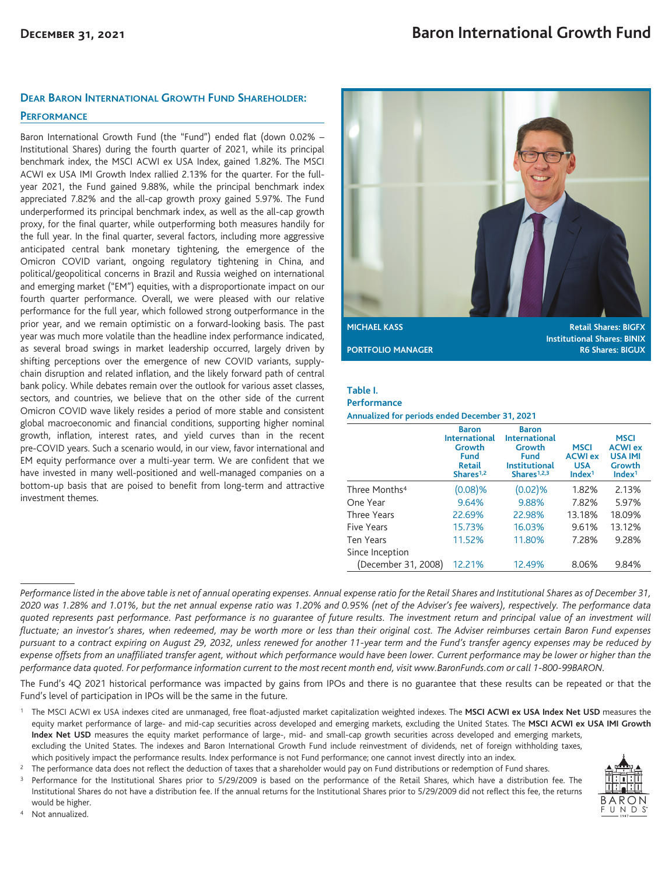# **DEAR BARON INTERNATIONAL GROWTH FUND SHAREHOLDER:**

## **PERFORMANCE**

Baron International Growth Fund (the "Fund") ended flat (down 0.02% – Institutional Shares) during the fourth quarter of 2021, while its principal benchmark index, the MSCI ACWI ex USA Index, gained 1.82%. The MSCI ACWI ex USA IMI Growth Index rallied 2.13% for the quarter. For the fullyear 2021, the Fund gained 9.88%, while the principal benchmark index appreciated 7.82% and the all-cap growth proxy gained 5.97%. The Fund underperformed its principal benchmark index, as well as the all-cap growth proxy, for the final quarter, while outperforming both measures handily for the full year. In the final quarter, several factors, including more aggressive anticipated central bank monetary tightening, the emergence of the Omicron COVID variant, ongoing regulatory tightening in China, and political/geopolitical concerns in Brazil and Russia weighed on international and emerging market ("EM") equities, with a disproportionate impact on our fourth quarter performance. Overall, we were pleased with our relative performance for the full year, which followed strong outperformance in the prior year, and we remain optimistic on a forward-looking basis. The past year was much more volatile than the headline index performance indicated, as several broad swings in market leadership occurred, largely driven by shifting perceptions over the emergence of new COVID variants, supplychain disruption and related inflation, and the likely forward path of central bank policy. While debates remain over the outlook for various asset classes, sectors, and countries, we believe that on the other side of the current Omicron COVID wave likely resides a period of more stable and consistent global macroeconomic and financial conditions, supporting higher nominal growth, inflation, interest rates, and yield curves than in the recent pre-COVID years. Such a scenario would, in our view, favor international and EM equity performance over a multi-year term. We are confident that we have invested in many well-positioned and well-managed companies on a bottom-up basis that are poised to benefit from long-term and attractive investment themes.



**Institutional Shares: BINIX PORTFOLIO MANAGER R6 Shares: BIGUX** 

## **Table I.**

#### **Performance**

**Annualized for periods ended December 31, 2021**

|                           | <b>Baron</b><br><b>International</b><br>Growth<br><b>Fund</b><br>Retail<br>Shares <sup>1,2</sup> | <b>Baron</b><br><b>International</b><br>Growth<br><b>Fund</b><br><b>Institutional</b><br>Shares <sup>1,2,3</sup> | <b>MSCI</b><br><b>ACWI ex</b><br><b>USA</b><br>Index <sup>1</sup> | <b>MSCI</b><br><b>ACWI ex</b><br><b>USA IMI</b><br>Growth<br>Index <sup>1</sup> |
|---------------------------|--------------------------------------------------------------------------------------------------|------------------------------------------------------------------------------------------------------------------|-------------------------------------------------------------------|---------------------------------------------------------------------------------|
| Three Months <sup>4</sup> | (0.08)%                                                                                          | $(0.02)$ %                                                                                                       | 1.82%                                                             | 2.13%                                                                           |
| One Year                  | 9.64%                                                                                            | 9.88%                                                                                                            | 7.82%                                                             | 5.97%                                                                           |
| <b>Three Years</b>        | 22.69%                                                                                           | 22.98%                                                                                                           | 13.18%                                                            | 18.09%                                                                          |
| Five Years                | 15.73%                                                                                           | 16.03%                                                                                                           | 9.61%                                                             | 13.12%                                                                          |
| <b>Ten Years</b>          | 11.52%                                                                                           | 11.80%                                                                                                           | 7.28%                                                             | 9.28%                                                                           |
| Since Inception           |                                                                                                  |                                                                                                                  |                                                                   |                                                                                 |
| (December 31, 2008)       | 12.21%                                                                                           | 12.49%                                                                                                           | 8.06%                                                             | 9.84%                                                                           |

*Performance listed in the above table is net of annual operating expenses. Annual expense ratio for the Retail Shares and Institutional Shares as of December 31, 2020 was 1.28% and 1.01%, but the net annual expense ratio was 1.20% and 0.95% (net of the Adviser's fee waivers), respectively. The performance data quoted represents past performance. Past performance is no guarantee of future results. The investment return and principal value of an investment will fluctuate; an investor's shares, when redeemed, may be worth more or less than their original cost. The Adviser reimburses certain Baron Fund expenses pursuant to a contract expiring on August 29, 2032, unless renewed for another 11-year term and the Fund's transfer agency expenses may be reduced by expense offsets from an unaffiliated transfer agent, without which performance would have been lower. Current performance may be lower or higher than the performance data quoted. For performance information current to the most recent month end, visit www.BaronFunds.com or call 1-800-99BARON.*

The Fund's 4Q 2021 historical performance was impacted by gains from IPOs and there is no guarantee that these results can be repeated or that the Fund's level of participation in IPOs will be the same in the future.

<sup>1</sup> The MSCI ACWI ex USA indexes cited are unmanaged, free float-adjusted market capitalization weighted indexes. The MSCI ACWI ex USA Index Net USD measures the equity market performance of large- and mid-cap securities across developed and emerging markets, excluding the United States. The **MSCI ACWI ex USA IMI Growth Index Net USD** measures the equity market performance of large-, mid- and small-cap growth securities across developed and emerging markets, excluding the United States. The indexes and Baron International Growth Fund include reinvestment of dividends, net of foreign withholding taxes, which positively impact the performance results. Index performance is not Fund performance; one cannot invest directly into an index.

<sup>2</sup> The performance data does not reflect the deduction of taxes that a shareholder would pay on Fund distributions or redemption of Fund shares.

<sup>3</sup> Performance for the Institutional Shares prior to 5/29/2009 is based on the performance of the Retail Shares, which have a distribution fee. The Institutional Shares do not have a distribution fee. If the annual returns for the Institutional Shares prior to 5/29/2009 did not reflect this fee, the returns would be higher.

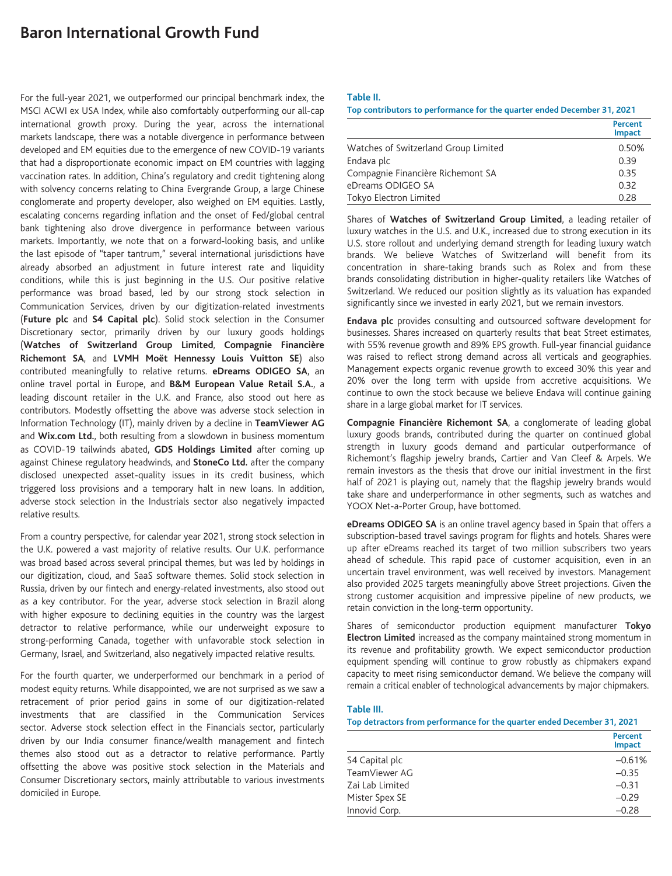# **Baron International Growth Fund**

For the full-year 2021, we outperformed our principal benchmark index, the MSCI ACWI ex USA Index, while also comfortably outperforming our all-cap international growth proxy. During the year, across the international markets landscape, there was a notable divergence in performance between developed and EM equities due to the emergence of new COVID-19 variants that had a disproportionate economic impact on EM countries with lagging vaccination rates. In addition, China's regulatory and credit tightening along with solvency concerns relating to China Evergrande Group, a large Chinese conglomerate and property developer, also weighed on EM equities. Lastly, escalating concerns regarding inflation and the onset of Fed/global central bank tightening also drove divergence in performance between various markets. Importantly, we note that on a forward-looking basis, and unlike the last episode of "taper tantrum," several international jurisdictions have already absorbed an adjustment in future interest rate and liquidity conditions, while this is just beginning in the U.S. Our positive relative performance was broad based, led by our strong stock selection in Communication Services, driven by our digitization-related investments (**Future plc** and **S4 Capital plc**). Solid stock selection in the Consumer Discretionary sector, primarily driven by our luxury goods holdings (**Watches of Switzerland Group Limited**, **Compagnie Financière Richemont SA**, and **LVMH Moët Hennessy Louis Vuitton SE**) also contributed meaningfully to relative returns. **eDreams ODIGEO SA**, an online travel portal in Europe, and **B&M European Value Retail S.A.**, a leading discount retailer in the U.K. and France, also stood out here as contributors. Modestly offsetting the above was adverse stock selection in Information Technology (IT), mainly driven by a decline in **TeamViewer AG** and **Wix.com Ltd.**, both resulting from a slowdown in business momentum as COVID-19 tailwinds abated, **GDS Holdings Limited** after coming up against Chinese regulatory headwinds, and **StoneCo Ltd.** after the company disclosed unexpected asset-quality issues in its credit business, which triggered loss provisions and a temporary halt in new loans. In addition, adverse stock selection in the Industrials sector also negatively impacted relative results.

From a country perspective, for calendar year 2021, strong stock selection in the U.K. powered a vast majority of relative results. Our U.K. performance was broad based across several principal themes, but was led by holdings in our digitization, cloud, and SaaS software themes. Solid stock selection in Russia, driven by our fintech and energy-related investments, also stood out as a key contributor. For the year, adverse stock selection in Brazil along with higher exposure to declining equities in the country was the largest detractor to relative performance, while our underweight exposure to strong-performing Canada, together with unfavorable stock selection in Germany, Israel, and Switzerland, also negatively impacted relative results.

For the fourth quarter, we underperformed our benchmark in a period of modest equity returns. While disappointed, we are not surprised as we saw a retracement of prior period gains in some of our digitization-related investments that are classified in the Communication Services sector. Adverse stock selection effect in the Financials sector, particularly driven by our India consumer finance/wealth management and fintech themes also stood out as a detractor to relative performance. Partly offsetting the above was positive stock selection in the Materials and Consumer Discretionary sectors, mainly attributable to various investments domiciled in Europe.

### **Table II.**

**Top contributors to performance for the quarter ended December 31, 2021**

|                                      | Percent<br><b>Impact</b> |
|--------------------------------------|--------------------------|
| Watches of Switzerland Group Limited | 0.50%                    |
| Endava plc                           | 0.39                     |
| Compagnie Financière Richemont SA    | 0.35                     |
| eDreams ODIGEO SA                    | 0.32                     |
| Tokyo Electron Limited               | 0.28                     |

Shares of **Watches of Switzerland Group Limited**, a leading retailer of luxury watches in the U.S. and U.K., increased due to strong execution in its U.S. store rollout and underlying demand strength for leading luxury watch brands. We believe Watches of Switzerland will benefit from its concentration in share-taking brands such as Rolex and from these brands consolidating distribution in higher-quality retailers like Watches of Switzerland. We reduced our position slightly as its valuation has expanded significantly since we invested in early 2021, but we remain investors.

**Endava plc** provides consulting and outsourced software development for businesses. Shares increased on quarterly results that beat Street estimates, with 55% revenue growth and 89% EPS growth. Full-year financial guidance was raised to reflect strong demand across all verticals and geographies. Management expects organic revenue growth to exceed 30% this year and 20% over the long term with upside from accretive acquisitions. We continue to own the stock because we believe Endava will continue gaining share in a large global market for IT services.

**Compagnie Financière Richemont SA**, a conglomerate of leading global luxury goods brands, contributed during the quarter on continued global strength in luxury goods demand and particular outperformance of Richemont's flagship jewelry brands, Cartier and Van Cleef & Arpels. We remain investors as the thesis that drove our initial investment in the first half of 2021 is playing out, namely that the flagship jewelry brands would take share and underperformance in other segments, such as watches and YOOX Net-a-Porter Group, have bottomed.

**eDreams ODIGEO SA** is an online travel agency based in Spain that offers a subscription-based travel savings program for flights and hotels. Shares were up after eDreams reached its target of two million subscribers two years ahead of schedule. This rapid pace of customer acquisition, even in an uncertain travel environment, was well received by investors. Management also provided 2025 targets meaningfully above Street projections. Given the strong customer acquisition and impressive pipeline of new products, we retain conviction in the long-term opportunity.

Shares of semiconductor production equipment manufacturer **Tokyo Electron Limited** increased as the company maintained strong momentum in its revenue and profitability growth. We expect semiconductor production equipment spending will continue to grow robustly as chipmakers expand capacity to meet rising semiconductor demand. We believe the company will remain a critical enabler of technological advancements by major chipmakers.

## **Table III.**

**Top detractors from performance for the quarter ended December 31, 2021**

|                 | <b>Percent</b><br>Impact |
|-----------------|--------------------------|
| S4 Capital plc  | $-0.61%$                 |
| TeamViewer AG   | $-0.35$                  |
| Zai Lab Limited | $-0.31$                  |
| Mister Spex SE  | $-0.29$                  |
| Innovid Corp.   | $-0.28$                  |
|                 |                          |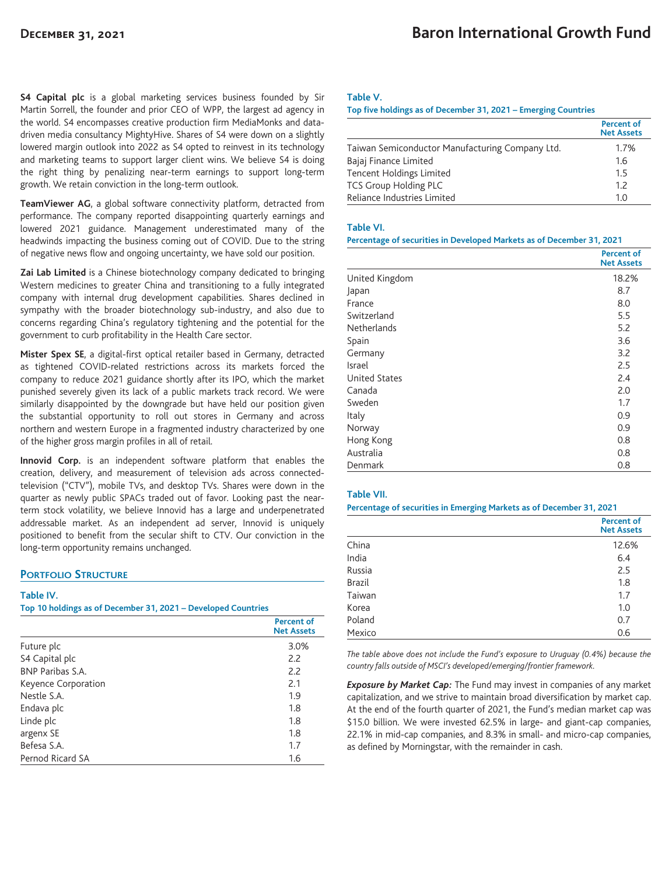**S4 Capital plc** is a global marketing services business founded by Sir Martin Sorrell, the founder and prior CEO of WPP, the largest ad agency in the world. S4 encompasses creative production firm MediaMonks and datadriven media consultancy MightyHive. Shares of S4 were down on a slightly lowered margin outlook into 2022 as S4 opted to reinvest in its technology and marketing teams to support larger client wins. We believe S4 is doing the right thing by penalizing near-term earnings to support long-term growth. We retain conviction in the long-term outlook.

**TeamViewer AG**, a global software connectivity platform, detracted from performance. The company reported disappointing quarterly earnings and lowered 2021 guidance. Management underestimated many of the headwinds impacting the business coming out of COVID. Due to the string of negative news flow and ongoing uncertainty, we have sold our position.

**Zai Lab Limited** is a Chinese biotechnology company dedicated to bringing Western medicines to greater China and transitioning to a fully integrated company with internal drug development capabilities. Shares declined in sympathy with the broader biotechnology sub-industry, and also due to concerns regarding China's regulatory tightening and the potential for the government to curb profitability in the Health Care sector.

**Mister Spex SE**, a digital-first optical retailer based in Germany, detracted as tightened COVID-related restrictions across its markets forced the company to reduce 2021 guidance shortly after its IPO, which the market punished severely given its lack of a public markets track record. We were similarly disappointed by the downgrade but have held our position given the substantial opportunity to roll out stores in Germany and across northern and western Europe in a fragmented industry characterized by one of the higher gross margin profiles in all of retail.

**Innovid Corp.** is an independent software platform that enables the creation, delivery, and measurement of television ads across connectedtelevision ("CTV"), mobile TVs, and desktop TVs. Shares were down in the quarter as newly public SPACs traded out of favor. Looking past the nearterm stock volatility, we believe Innovid has a large and underpenetrated addressable market. As an independent ad server, Innovid is uniquely positioned to benefit from the secular shift to CTV. Our conviction in the long-term opportunity remains unchanged.

# **PORTFOLIO STRUCTURE**

### **Table IV.**

**Top 10 holdings as of December 31, 2021 – Developed Countries**

|                         | <b>Percent of</b><br><b>Net Assets</b> |
|-------------------------|----------------------------------------|
| Future plc              | 3.0%                                   |
| S4 Capital plc          | 2.2                                    |
| <b>BNP Paribas S.A.</b> | 2.2                                    |
| Keyence Corporation     | 2.1                                    |
| Nestle S.A.             | 1.9                                    |
| Endava plc              | 1.8                                    |
| Linde plc               | 1.8                                    |
| argenx SE               | 1.8                                    |
| Befesa S.A.             | 1.7                                    |
| Pernod Ricard SA        | 1.6                                    |

## **Table V.**

**Top five holdings as of December 31, 2021 – Emerging Countries**

|                                                 | <b>Percent of</b><br><b>Net Assets</b> |
|-------------------------------------------------|----------------------------------------|
| Taiwan Semiconductor Manufacturing Company Ltd. | 1.7%                                   |
| Bajaj Finance Limited                           | 1.6                                    |
| Tencent Holdings Limited                        | 1.5                                    |
| <b>TCS Group Holding PLC</b>                    | 1.7                                    |
| Reliance Industries Limited                     | 1.0                                    |

#### **Table VI.**

#### **Percentage of securities in Developed Markets as of December 31, 2021**

|                      | <b>Percent of</b><br><b>Net Assets</b> |
|----------------------|----------------------------------------|
| United Kingdom       | 18.2%                                  |
| Japan                | 8.7                                    |
| France               | 8.0                                    |
| Switzerland          | 5.5                                    |
| <b>Netherlands</b>   | 5.2                                    |
| Spain                | 3.6                                    |
| Germany              | 3.2                                    |
| Israel               | 2.5                                    |
| <b>United States</b> | 2.4                                    |
| Canada               | 2.0                                    |
| Sweden               | 1.7                                    |
| Italy                | 0.9                                    |
| Norway               | 0.9                                    |
| Hong Kong            | 0.8                                    |
| Australia            | 0.8                                    |
| Denmark              | 0.8                                    |

#### **Table VII.**

#### **Percentage of securities in Emerging Markets as of December 31, 2021**

|               | <b>Percent of</b><br><b>Net Assets</b> |
|---------------|----------------------------------------|
| China         | 12.6%                                  |
| India         | 6.4                                    |
| Russia        | 2.5                                    |
| <b>Brazil</b> | 1.8                                    |
| Taiwan        | 1.7                                    |
| Korea         | 1.0                                    |
| Poland        | 0.7                                    |
| Mexico        | 0.6                                    |

*The table above does not include the Fund's exposure to Uruguay (0.4%) because the country falls outside of MSCI's developed/emerging/frontier framework.*

*Exposure by Market Cap:* The Fund may invest in companies of any market capitalization, and we strive to maintain broad diversification by market cap. At the end of the fourth quarter of 2021, the Fund's median market cap was \$15.0 billion. We were invested 62.5% in large- and giant-cap companies, 22.1% in mid-cap companies, and 8.3% in small- and micro-cap companies, as defined by Morningstar, with the remainder in cash.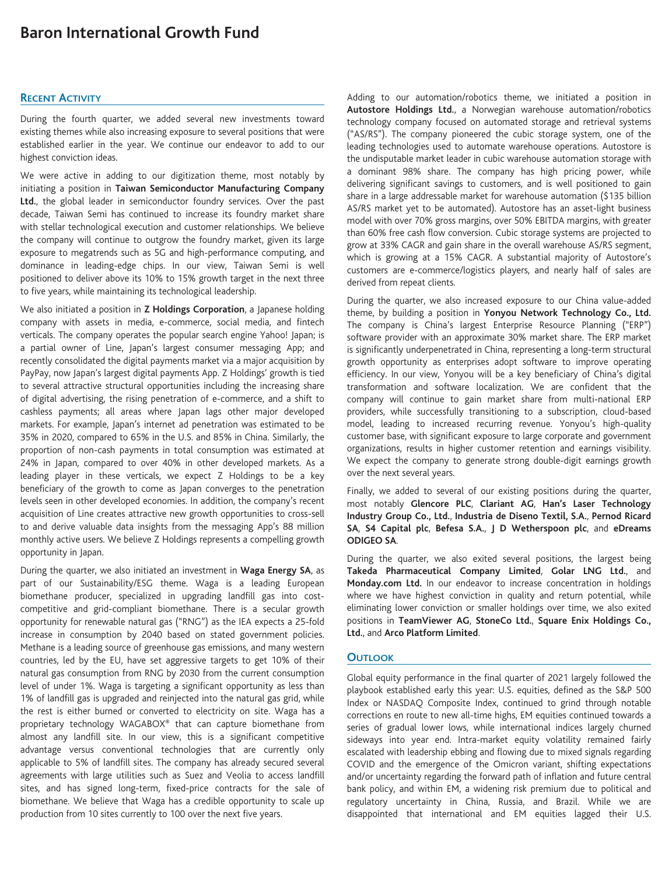# **Baron International Growth Fund**

## **RECENT ACTIVITY**

During the fourth quarter, we added several new investments toward existing themes while also increasing exposure to several positions that were established earlier in the year. We continue our endeavor to add to our highest conviction ideas.

We were active in adding to our digitization theme, most notably by initiating a position in **Taiwan Semiconductor Manufacturing Company Ltd.**, the global leader in semiconductor foundry services. Over the past decade, Taiwan Semi has continued to increase its foundry market share with stellar technological execution and customer relationships. We believe the company will continue to outgrow the foundry market, given its large exposure to megatrends such as 5G and high-performance computing, and dominance in leading-edge chips. In our view, Taiwan Semi is well positioned to deliver above its 10% to 15% growth target in the next three to five years, while maintaining its technological leadership.

We also initiated a position in **Z Holdings Corporation**, a Japanese holding company with assets in media, e-commerce, social media, and fintech verticals. The company operates the popular search engine Yahoo! Japan; is a partial owner of Line, Japan's largest consumer messaging App; and recently consolidated the digital payments market via a major acquisition by PayPay, now Japan's largest digital payments App. Z Holdings' growth is tied to several attractive structural opportunities including the increasing share of digital advertising, the rising penetration of e-commerce, and a shift to cashless payments; all areas where Japan lags other major developed markets. For example, Japan's internet ad penetration was estimated to be 35% in 2020, compared to 65% in the U.S. and 85% in China. Similarly, the proportion of non-cash payments in total consumption was estimated at 24% in Japan, compared to over 40% in other developed markets. As a leading player in these verticals, we expect Z Holdings to be a key beneficiary of the growth to come as Japan converges to the penetration levels seen in other developed economies. In addition, the company's recent acquisition of Line creates attractive new growth opportunities to cross-sell to and derive valuable data insights from the messaging App's 88 million monthly active users. We believe Z Holdings represents a compelling growth opportunity in Japan.

During the quarter, we also initiated an investment in **Waga Energy SA**, as part of our Sustainability/ESG theme. Waga is a leading European biomethane producer, specialized in upgrading landfill gas into costcompetitive and grid-compliant biomethane. There is a secular growth opportunity for renewable natural gas ("RNG") as the IEA expects a 25-fold increase in consumption by 2040 based on stated government policies. Methane is a leading source of greenhouse gas emissions, and many western countries, led by the EU, have set aggressive targets to get 10% of their natural gas consumption from RNG by 2030 from the current consumption level of under 1%. Waga is targeting a significant opportunity as less than 1% of landfill gas is upgraded and reinjected into the natural gas grid, while the rest is either burned or converted to electricity on site. Waga has a proprietary technology WAGABOX® that can capture biomethane from almost any landfill site. In our view, this is a significant competitive advantage versus conventional technologies that are currently only applicable to 5% of landfill sites. The company has already secured several agreements with large utilities such as Suez and Veolia to access landfill sites, and has signed long-term, fixed-price contracts for the sale of biomethane. We believe that Waga has a credible opportunity to scale up production from 10 sites currently to 100 over the next five years.

Adding to our automation/robotics theme, we initiated a position in **Autostore Holdings Ltd.**, a Norwegian warehouse automation/robotics technology company focused on automated storage and retrieval systems ("AS/RS"). The company pioneered the cubic storage system, one of the leading technologies used to automate warehouse operations. Autostore is the undisputable market leader in cubic warehouse automation storage with a dominant 98% share. The company has high pricing power, while delivering significant savings to customers, and is well positioned to gain share in a large addressable market for warehouse automation (\$135 billion AS/RS market yet to be automated). Autostore has an asset-light business model with over 70% gross margins, over 50% EBITDA margins, with greater than 60% free cash flow conversion. Cubic storage systems are projected to grow at 33% CAGR and gain share in the overall warehouse AS/RS segment, which is growing at a 15% CAGR. A substantial majority of Autostore's customers are e-commerce/logistics players, and nearly half of sales are derived from repeat clients.

During the quarter, we also increased exposure to our China value-added theme, by building a position in **Yonyou Network Technology Co., Ltd.** The company is China's largest Enterprise Resource Planning ("ERP") software provider with an approximate 30% market share. The ERP market is significantly underpenetrated in China, representing a long-term structural growth opportunity as enterprises adopt software to improve operating efficiency. In our view, Yonyou will be a key beneficiary of China's digital transformation and software localization. We are confident that the company will continue to gain market share from multi-national ERP providers, while successfully transitioning to a subscription, cloud-based model, leading to increased recurring revenue. Yonyou's high-quality customer base, with significant exposure to large corporate and government organizations, results in higher customer retention and earnings visibility. We expect the company to generate strong double-digit earnings growth over the next several years.

Finally, we added to several of our existing positions during the quarter, most notably **Glencore PLC**, **Clariant AG**, **Han's Laser Technology Industry Group Co., Ltd.**, **Industria de Diseno Textil, S.A.**, **Pernod Ricard SA**, **S4 Capital plc**, **Befesa S.A.**, **J D Wetherspoon plc**, and **eDreams ODIGEO SA**.

During the quarter, we also exited several positions, the largest being **Takeda Pharmaceutical Company Limited**, **Golar LNG Ltd.**, and **Monday.com Ltd.** In our endeavor to increase concentration in holdings where we have highest conviction in quality and return potential, while eliminating lower conviction or smaller holdings over time, we also exited positions in **TeamViewer AG**, **StoneCo Ltd.**, **Square Enix Holdings Co., Ltd.**, and **Arco Platform Limited**.

## **OUTLOOK**

Global equity performance in the final quarter of 2021 largely followed the playbook established early this year: U.S. equities, defined as the S&P 500 Index or NASDAQ Composite Index, continued to grind through notable corrections en route to new all-time highs, EM equities continued towards a series of gradual lower lows, while international indices largely churned sideways into year end. Intra-market equity volatility remained fairly escalated with leadership ebbing and flowing due to mixed signals regarding COVID and the emergence of the Omicron variant, shifting expectations and/or uncertainty regarding the forward path of inflation and future central bank policy, and within EM, a widening risk premium due to political and regulatory uncertainty in China, Russia, and Brazil. While we are disappointed that international and EM equities lagged their U.S.